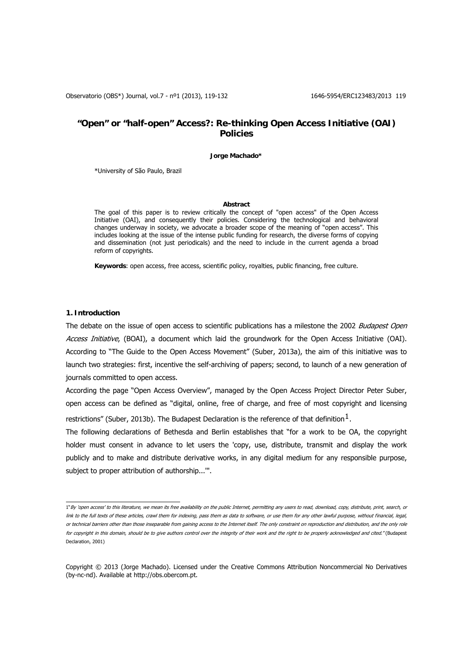Observatorio (OBS\*) Journal, vol.7 - nº1 (2013), 119-132 1646-5954/ERC123483/2013 119

## **"Open" or "half-open" Access?: Re-thinking Open Access Initiative (OAI) Policies**

**Jorge Machado\*** 

\*University of São Paulo, Brazil

### **Abstract**

The goal of this paper is to review critically the concept of "open access" of the Open Access Initiative (OAI), and consequently their policies. Considering the technological and behavioral changes underway in society, we advocate a broader scope of the meaning of "open access". This includes looking at the issue of the intense public funding for research, the diverse forms of copying and dissemination (not just periodicals) and the need to include in the current agenda a broad reform of copyrights.

**Keywords**: open access, free access, scientific policy, royalties, public financing, free culture.

## **1. Introduction**

The debate on the issue of open access to scientific publications has a milestone the 2002 Budapest Open Access Initiative, (BOAI), a document which laid the groundwork for the Open Access Initiative (OAI). According to "The Guide to the Open Access Movement" (Suber, 2013a), the aim of this initiative was to launch two strategies: first, incentive the self-archiving of papers; second, to launch of a new generation of journals committed to open access.

According the page "Open Access Overview", managed by the Open Access Project Director Peter Suber, open access can be defined as "digital, online, free of charge, and free of most copyright and licensing restrictions" (Suber, 20[1](#page-0-0)3b). The Budapest Declaration is the reference of that definition  $1$ .

The following declarations of Bethesda and Berlin establishes that "for a work to be OA, the copyright holder must consent in advance to let users the 'copy, use, distribute, transmit and display the work publicly and to make and distribute derivative works, in any digital medium for any responsible purpose, subject to proper attribution of authorship...'".

<span id="page-0-0"></span> 1"By 'open access' to this literature, we mean its free availability on the public Internet, permitting any users to read, download, copy, distribute, print, search, or link to the full texts of these articles, crawl them for indexing, pass them as data to software, or use them for any other lawful purpose, without financial, legal, or technical barriers other than those inseparable from gaining access to the Internet itself. The only constraint on reproduction and distribution, and the only role for copyright in this domain, should be to give authors control over the integrity of their work and the right to be properly acknowledged and cited." (Budapest Declaration, 2001)

Copyright © 2013 (Jorge Machado). Licensed under the Creative Commons Attribution Noncommercial No Derivatives (by-nc-nd). Available at http://obs.obercom.pt.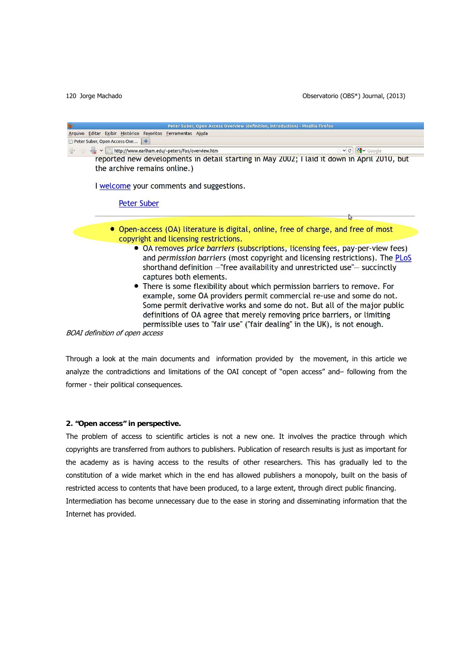

Through a look at the main documents and information provided by the movement, in this article we analyze the contradictions and limitations of the OAI concept of "open access" and– following from the former - their political consequences.

## **2. "Open access" in perspective.**

The problem of access to scientific articles is not a new one. It involves the practice through which copyrights are transferred from authors to publishers. Publication of research results is just as important for the academy as is having access to the results of other researchers. This has gradually led to the constitution of a wide market which in the end has allowed publishers a monopoly, built on the basis of restricted access to contents that have been produced, to a large extent, through direct public financing. Intermediation has become unnecessary due to the ease in storing and disseminating information that the Internet has provided.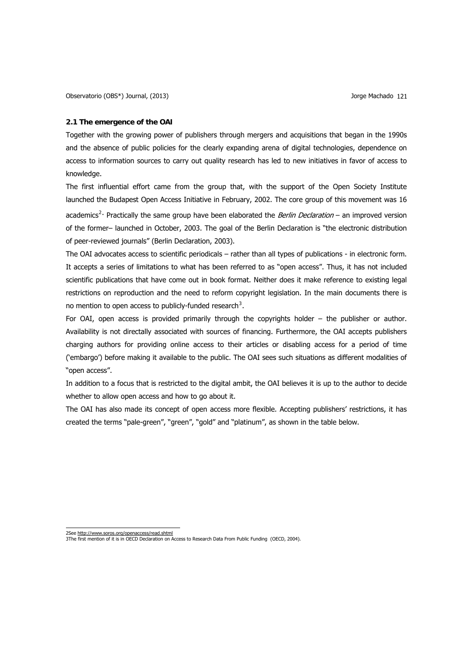### **2.1 The emergence of the OAI**

Together with the growing power of publishers through mergers and acquisitions that began in the 1990s and the absence of public policies for the clearly expanding arena of digital technologies, dependence on access to information sources to carry out quality research has led to new initiatives in favor of access to knowledge.

The first influential effort came from the group that, with the support of the Open Society Institute launched the Budapest Open Access Initiative in February, 2002. The core group of this movement was 16 academics<sup>[2](#page-2-0)</sup>. Practically the same group have been elaborated the *Berlin Declaration* – an improved version of the former– launched in October, 2003. The goal of the Berlin Declaration is "the electronic distribution of peer-reviewed journals" (Berlin Declaration, 2003).

The OAI advocates access to scientific periodicals – rather than all types of publications - in electronic form. It accepts a series of limitations to what has been referred to as "open access". Thus, it has not included scientific publications that have come out in book format. Neither does it make reference to existing legal restrictions on reproduction and the need to reform copyright legislation. In the main documents there is no mention to open access to publicly-funded research<sup>[3](#page-2-1)</sup>.

For OAI, open access is provided primarily through the copyrights holder – the publisher or author. Availability is not directally associated with sources of financing. Furthermore, the OAI accepts publishers charging authors for providing online access to their articles or disabling access for a period of time ('embargo') before making it available to the public. The OAI sees such situations as different modalities of "open access".

In addition to a focus that is restricted to the digital ambit, the OAI believes it is up to the author to decide whether to allow open access and how to go about it.

The OAI has also made its concept of open access more flexible. Accepting publishers' restrictions, it has created the terms "pale-green", "green", "gold" and "platinum", as shown in the table below.

<span id="page-2-1"></span><span id="page-2-0"></span><sup>2</sup>See http://www.soros.org/openaccess/read.shtml 3The first mention of it is in OECD Declaration on Access to Research Data From Public Funding (OECD, 2004).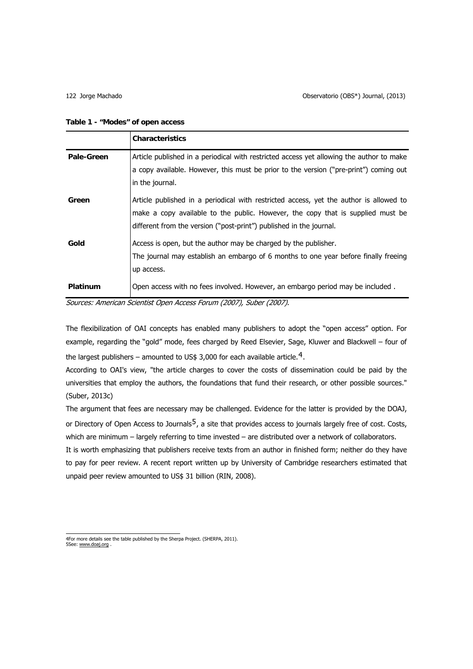| Table 1 - "Modes" of open access |  |  |  |
|----------------------------------|--|--|--|
|----------------------------------|--|--|--|

|            | <b>Characteristics</b>                                                                                                                                                                                                                           |
|------------|--------------------------------------------------------------------------------------------------------------------------------------------------------------------------------------------------------------------------------------------------|
| Pale-Green | Article published in a periodical with restricted access yet allowing the author to make<br>a copy available. However, this must be prior to the version ("pre-print") coming out<br>in the journal.                                             |
| Green      | Article published in a periodical with restricted access, yet the author is allowed to<br>make a copy available to the public. However, the copy that is supplied must be<br>different from the version ("post-print") published in the journal. |
| Gold       | Access is open, but the author may be charged by the publisher.<br>The journal may establish an embargo of 6 months to one year before finally freeing<br>up access.                                                                             |
| Platinum   | Open access with no fees involved. However, an embargo period may be included.                                                                                                                                                                   |

Sources: American Scientist Open Access Forum (2007), Suber (2007).

The flexibilization of OAI concepts has enabled many publishers to adopt the "open access" option. For example, regarding the "gold" mode, fees charged by Reed Elsevier, Sage, Kluwer and Blackwell – four of the largest publishers – amounted to US\$ 3,000 for each available article.<sup>[4](#page-3-0)</sup>.

According to OAI's view, "the article charges to cover the costs of dissemination could be paid by the universities that employ the authors, the foundations that fund their research, or other possible sources." (Suber, 2013c)

The argument that fees are necessary may be challenged. Evidence for the latter is provided by the DOAJ, or Directory of Open Access to Journals<sup>[5](#page-3-1)</sup>, a site that provides access to journals largely free of cost. Costs, which are minimum – largely referring to time invested – are distributed over a network of collaborators.

It is worth emphasizing that publishers receive texts from an author in finished form; neither do they have to pay for peer review. A recent report written up by University of Cambridge researchers estimated that unpaid peer review amounted to US\$ 31 billion (RIN, 2008).

<span id="page-3-1"></span><span id="page-3-0"></span> 4For more details see he table published by the Sherpa Project. (SHERPA, 2011). t 5See: [www.doaj.org](http://www.doaj.org/) .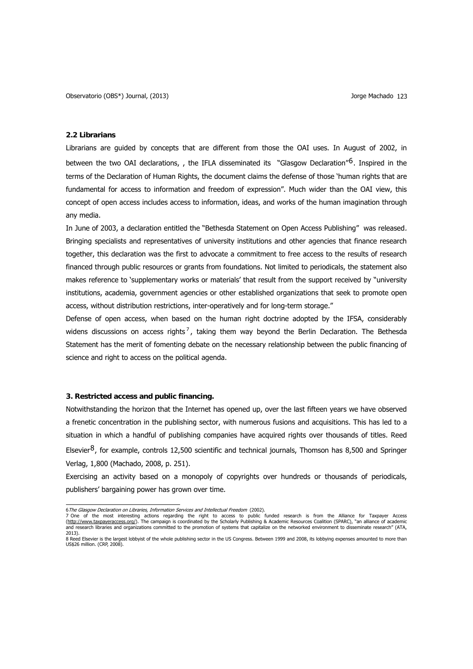## **2.2 Librarians**

Librarians are guided by concepts that are different from those the OAI uses. In August of 2002, in between the two OAI declarations, , the IFLA disseminated its "Glasgow Declaration"<sup>[6](#page-4-0)</sup>. Inspired in the terms of the Declaration of Human Rights, the document claims the defense of those 'human rights that are fundamental for access to information and freedom of expression". Much wider than the OAI view, this concept of open access includes access to information, ideas, and works of the human imagination through any media.

In June of 2003, a declaration entitled the "Bethesda Statement on Open Access Publishing" was released. Bringing specialists and representatives of university institutions and other agencies that finance research together, this declaration was the first to advocate a commitment to free access to the results of research financed through public resources or grants from foundations. Not limited to periodicals, the statement also makes reference to 'supplementary works or materials' that result from the support received by "university institutions, academia, government agencies or other established organizations that seek to promote open access, without distribution restrictions, inter-operatively and for long-term storage."

Defense of open access, when based on the human right doctrine adopted by the IFSA, considerably widens discussions on access rights<sup>[7](#page-4-1)</sup>, taking them way beyond the Berlin Declaration. The Bethesda Statement has the merit of fomenting debate on the necessary relationship between the public financing of science and right to access on the political agenda.

## **3. Restricted access and public financing.**

Notwithstanding the horizon that the Internet has opened up, over the last fifteen years we have observed a frenetic concentration in the publishing sector, with numerous fusions and acquisitions. This has led to a situation in which a handful of publishing companies have acquired rights over thousands of titles. Reed Elsevier $8$ , for example, controls 12,500 scientific and technical journals, Thomson has 8,500 and Springer Verlag, 1,800 (Machado, 2008, p. 251).

Exercising an activity based on a monopoly of copyrights over hundreds or thousands of periodicals, publishers' bargaining power has grown over time.

<span id="page-4-1"></span>

<span id="page-4-0"></span><sup>6</sup>The Glasgow Declaration on Libraries, Information Services and Intellectual Freedom (2002).<br>7 One of the most interesting actions regarding the right to access to public funded research is from the Alliance for Taxpayer A 2013).

<span id="page-4-2"></span><sup>8</sup> Reed Elsevier is the largest lobbyist of the whole publishing sector in the US Congress. Between 1999 and 2008, its lobbying expenses amounted to more than US\$26 million. (CRP, 2008).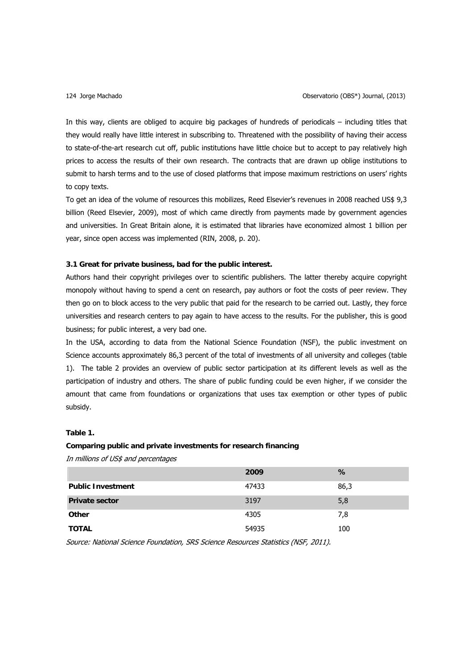In this way, clients are obliged to acquire big packages of hundreds of periodicals – including titles that they would really have little interest in subscribing to. Threatened with the possibility of having their access to state-of-the-art research cut off, public institutions have little choice but to accept to pay relatively high prices to access the results of their own research. The contracts that are drawn up oblige institutions to submit to harsh terms and to the use of closed platforms that impose maximum restrictions on users' rights to copy texts.

To get an idea of the volume of resources this mobilizes, Reed Elsevier's revenues in 2008 reached US\$ 9,3 billion (Reed Elsevier, 2009), most of which came directly from payments made by government agencies and universities. In Great Britain alone, it is estimated that libraries have economized almost 1 billion per year, since open access was implemented (RIN, 2008, p. 20).

## **3.1 Great for private business, bad for the public interest.**

Authors hand their copyright privileges over to scientific publishers. The latter thereby acquire copyright monopoly without having to spend a cent on research, pay authors or foot the costs of peer review. They then go on to block access to the very public that paid for the research to be carried out. Lastly, they force universities and research centers to pay again to have access to the results. For the publisher, this is good business; for public interest, a very bad one.

In the USA, according to data from the National Science Foundation (NSF), the public investment on Science accounts approximately 86,3 percent of the total of investments of all university and colleges (table 1). The table 2 provides an overview of public sector participation at its different levels as well as the participation of industry and others. The share of public funding could be even higher, if we consider the amount that came from foundations or organizations that uses tax exemption or other types of public subsidy.

## **Table 1.**

### **Comparing public and private investments for research financing**

In millions of US\$ and percentages

|                          | 2009  | %    |
|--------------------------|-------|------|
| <b>Public Investment</b> | 47433 | 86,3 |
| <b>Private sector</b>    | 3197  | 5,8  |
| Other                    | 4305  | 7,8  |
| <b>TOTAL</b>             | 54935 | 100  |

Source: National Science Foundation, SRS Science Resources Statistics (NSF, 2011).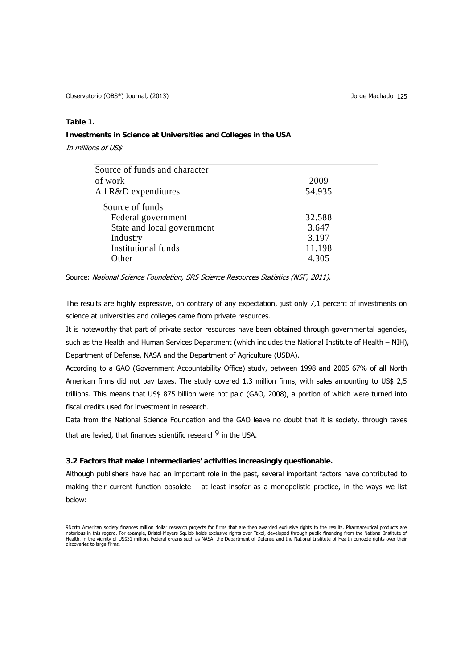## **Table 1.**

## **Investments in Science at Universities and Colleges in the USA**

In millions of US\$

| Source of funds and character |        |
|-------------------------------|--------|
| of work                       | 2009   |
| All R&D expenditures          | 54.935 |
| Source of funds               |        |
| Federal government            | 32.588 |
| State and local government    | 3.647  |
| Industry                      | 3.197  |
| Institutional funds           | 11.198 |
| Other                         | 4.305  |

Source: National Science Foundation, SRS Science Resources Statistics (NSF, 2011).

The results are highly expressive, on contrary of any expectation, just only 7,1 percent of investments on science at universities and colleges came from private resources.

It is noteworthy that part of private sector resources have been obtained through governmental agencies, such as the Health and Human Services Department (which includes the National Institute of Health – NIH), Department of Defense, NASA and the Department of Agriculture (USDA).

According to a GAO (Government Accountability Office) study, between 1998 and 2005 67% of all North American firms did not pay taxes. The study covered 1.3 million firms, with sales amounting to US\$ 2,5 trillions. This means that US\$ 875 billion were not paid (GAO, 2008), a portion of which were turned into fiscal credits used for investment in research.

Data from the National Science Foundation and the GAO leave no doubt that it is society, through taxes that are levied, that finances scientific research<sup>[9](#page-6-0)</sup> in the USA.

## **3.2 Factors that make Intermediaries' activities increasingly questionable.**

Although publishers have had an important role in the past, several important factors have contributed to making their current function obsolete – at least insofar as a monopolistic practice, in the ways we list below:

<span id="page-6-0"></span> 9North American society finances million dollar research projects for firms that are then awarded exclusive rights to the results. Pharmaceutical products are notorious in this regard. For example, Bristol-Meyers Squibb holds exclusive rights over Taxol, developed through public financing from the National Institute of<br>Health, in the vicinity of US\$31 million. Federal organs suc discoveries to large firms.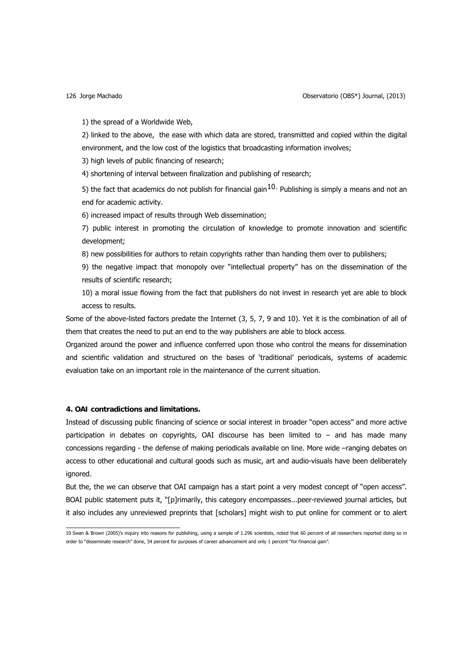1) the spread of a Worldwide Web,

2) linked to the above, the ease with which data are stored, transmitted and copied within the digital environment, and the low cost of the logistics that broadcasting information involves;

3) high levels of public financing of research;

4) shortening of interval between finalization and publishing of research;

5) the fact that academics do not publish for financial gain<sup>[10](#page-7-0)</sup>. Publishing is simply a means and not an end for academic activity.

6) increased impact of results through Web dissemination;

7) public interest in promoting the circulation of knowledge to promote innovation and scientific development;

8) new possibilities for authors to retain copyrights rather than handing them over to publishers;

9) the negative impact that monopoly over "intellectual property" has on the dissemination of the results of scientific research;

10) a moral issue flowing from the fact that publishers do not invest in research yet are able to block access to results.

Some of the above-listed factors predate the Internet (3, 5, 7, 9 and 10). Yet it is the combination of all of them that creates the need to put an end to the way publishers are able to block access.

Organized around the power and influence conferred upon those who control the means for dissemination and scientific validation and structured on the bases of 'traditional' periodicals, systems of academic evaluation take on an important role in the maintenance of the current situation.

## **4. OAI contradictions and limitations.**

Instead of discussing public financing of science or social interest in broader "open access" and more active participation in debates on copyrights, OAI discourse has been limited to – and has made many concessions regarding - the defense of making periodicals available on line. More wide –ranging debates on access to other educational and cultural goods such as music, art and audio-visuals have been deliberately ignored.

But the, the we can observe that OAI campaign has a start point a very modest concept of "open access". BOAI public statement puts it, "[p]rimarily, this category encompasses...peer-reviewed journal articles, but it also includes any unreviewed preprints that [scholars] might wish to put online for comment or to alert

<span id="page-7-0"></span> 10 Swan & Brown (2005)'s inquiry into reasons for publishing, using a sample of 1.296 scientists, noted that 60 percent of all researchers reported doing so in order to "disseminate research" done, 34 percent for purposes of career advancement and only 1 percent "for financial gain".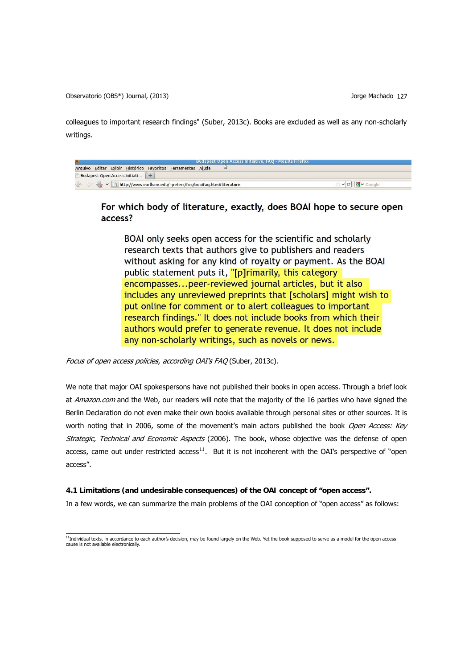colleagues to important research findings" (Suber, 2013c). Books are excluded as well as any non-scholarly writings.

| <b>Budapest Open Access Initiative, FAQ - Mozilla Firefox</b>                       |  |
|-------------------------------------------------------------------------------------|--|
| Editar Exibir Histórico Favoritos Ferramentas Ajuda<br>Arquivo                      |  |
| Budapest Open Access Initiati                                                       |  |
| $\mathbb{R}$ $\mathbb{Z}$ http://www.earlham.edu/~peters/fos/boaifaq.htm#literature |  |

# For which body of literature, exactly, does BOAI hope to secure open access?

BOAI only seeks open access for the scientific and scholarly research texts that authors give to publishers and readers without asking for any kind of royalty or payment. As the BOAI public statement puts it, "[p]rimarily, this category encompasses...peer-reviewed journal articles, but it also includes any unreviewed preprints that [scholars] might wish to put online for comment or to alert colleagues to important research findings." It does not include books from which their authors would prefer to generate revenue. It does not include any non-scholarly writings, such as novels or news.

Focus of open access policies, according OAI's FAQ (Suber, 2013c).

We note that major OAI spokespersons have not published their books in open access. Through a brief look at Amazon.com and the Web, our readers will note that the majority of the 16 parties who have signed the Berlin Declaration do not even make their own books available through personal sites or other sources. It is worth noting that in 2006, some of the movement's main actors published the book Open Access: Key Strategic, Technical and Economic Aspects (2006). The book, whose objective was the defense of open access, came out under restricted access<sup>[11](#page-8-0)</sup>. But it is not incoherent with the OAI's perspective of "open access".

## **4.1 Limitations (and undesirable consequences) of the OAI concept of "open access".**

In a few words, we can summarize the main problems of the OAI conception of "open access" as follows:

<span id="page-8-0"></span> 11Individual texts, in accordance to each author's decision, may be found largely on the Web. Yet the book supposed to serve as a model for the open access cause is not available electronically.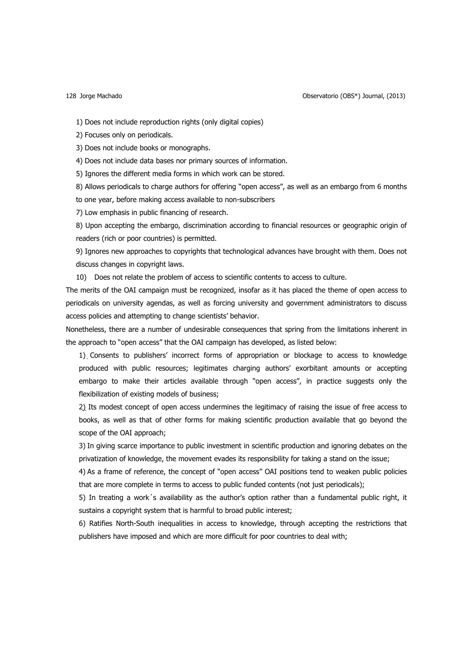Jorge Machado 128 Observatorio (OBS\*) Journal, (2013)

1) Does not include reproduction rights (only digital copies)

2) Focuses only on periodicals.

3) Does not include books or monographs.

4) Does not include data bases nor primary sources of information.

5) Ignores the different media forms in which work can be stored.

8) Allows periodicals to charge authors for offering "open access", as well as an embargo from 6 months to one year, before making access available to non-subscribers

7) Low emphasis in public financing of research.

8) Upon accepting the embargo, discrimination according to financial resources or geographic origin of readers (rich or poor countries) is permitted.

9) Ignores new approaches to copyrights that technological advances have brought with them. Does not discuss changes in copyright laws.

10) Does not relate the problem of access to scientific contents to access to culture.

The merits of the OAI campaign must be recognized, insofar as it has placed the theme of open access to periodicals on university agendas, as well as forcing university and government administrators to discuss access policies and attempting to change scientists' behavior.

Nonetheless, there are a number of undesirable consequences that spring from the limitations inherent in the approach to "open access" that the OAI campaign has developed, as listed below:

1) Consents to publishers' incorrect forms of appropriation or blockage to access to knowledge produced with public resources; legitimates charging authors' exorbitant amounts or accepting embargo to make their articles available through "open access", in practice suggests only the flexibilization of existing models of business;

2) Its modest concept of open access undermines the legitimacy of raising the issue of free access to books, as well as that of other forms for making scientific production available that go beyond the scope of the OAI approach;

3) In giving scarce importance to public investment in scientific production and ignoring debates on the privatization of knowledge, the movement evades its responsibility for taking a stand on the issue;

4) As a frame of reference, the concept of "open access" OAI positions tend to weaken public policies that are more complete in terms to access to public funded contents (not just periodicals);

5) In treating a work´s availability as the author's option rather than a fundamental public right, it sustains a copyright system that is harmful to broad public interest;

6) Ratifies North-South inequalities in access to knowledge, through accepting the restrictions that publishers have imposed and which are more difficult for poor countries to deal with;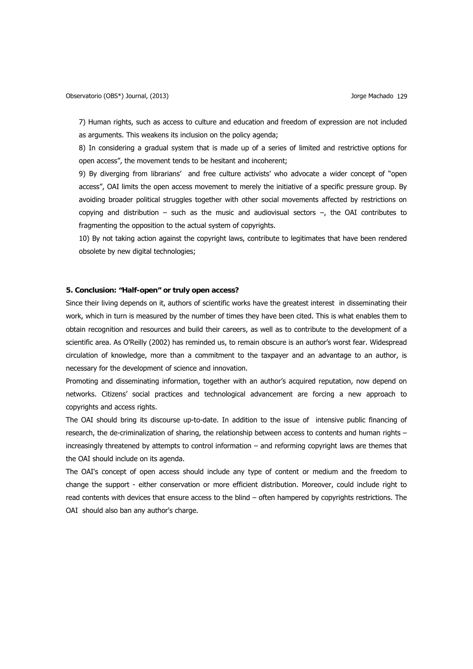7) Human rights, such as access to culture and education and freedom of expression are not included as arguments. This weakens its inclusion on the policy agenda;

8) In considering a gradual system that is made up of a series of limited and restrictive options for open access", the movement tends to be hesitant and incoherent;

9) By diverging from librarians' and free culture activists' who advocate a wider concept of "open access", OAI limits the open access movement to merely the initiative of a specific pressure group. By avoiding broader political struggles together with other social movements affected by restrictions on copying and distribution – such as the music and audiovisual sectors  $-$ , the OAI contributes to fragmenting the opposition to the actual system of copyrights.

10) By not taking action against the copyright laws, contribute to legitimates that have been rendered obsolete by new digital technologies;

## **5. Conclusion: "Half-open" or truly open access?**

Since their living depends on it, authors of scientific works have the greatest interest in disseminating their work, which in turn is measured by the number of times they have been cited. This is what enables them to obtain recognition and resources and build their careers, as well as to contribute to the development of a scientific area. As O'Reilly (2002) has reminded us, to remain obscure is an author's worst fear. Widespread circulation of knowledge, more than a commitment to the taxpayer and an advantage to an author, is necessary for the development of science and innovation.

Promoting and disseminating information, together with an author's acquired reputation, now depend on networks. Citizens' social practices and technological advancement are forcing a new approach to copyrights and access rights.

The OAI should bring its discourse up-to-date. In addition to the issue of intensive public financing of research, the de-criminalization of sharing, the relationship between access to contents and human rights – increasingly threatened by attempts to control information – and reforming copyright laws are themes that the OAI should include on its agenda.

The OAI's concept of open access should include any type of content or medium and the freedom to change the support - either conservation or more efficient distribution. Moreover, could include right to read contents with devices that ensure access to the blind – often hampered by copyrights restrictions. The OAI should also ban any author's charge.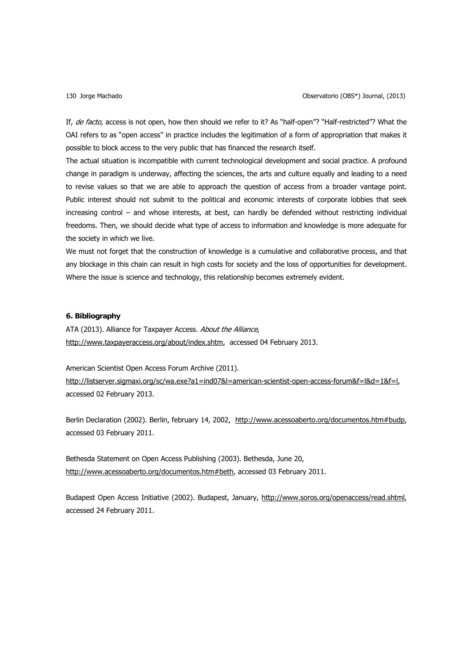If, de facto, access is not open, how then should we refer to it? As "half-open"? "Half-restricted"? What the OAI refers to as "open access" in practice includes the legitimation of a form of appropriation that makes it possible to block access to the very public that has financed the research itself.

The actual situation is incompatible with current technological development and social practice. A profound change in paradigm is underway, affecting the sciences, the arts and culture equally and leading to a need to revise values so that we are able to approach the question of access from a broader vantage point. Public interest should not submit to the political and economic interests of corporate lobbies that seek increasing control – and whose interests, at best, can hardly be defended without restricting individual freedoms. Then, we should decide what type of access to information and knowledge is more adequate for the society in which we live.

We must not forget that the construction of knowledge is a cumulative and collaborative process, and that any blockage in this chain can result in high costs for society and the loss of opportunities for development. Where the issue is science and technology, this relationship becomes extremely evident.

## **6. Bibliography**

ATA (2013). Alliance for Taxpayer Access. About the Alliance, [http://www.taxpayeraccess.org/about/index.shtm,](http://www.taxpayeraccess.org/about/index.shtm) accessed 04 February 2013.

American Scientist Open Access Forum Archive (2011). [http://listserver.sigmaxi.org/sc/wa.exe?a1=ind07&l=american-scientist-open-access-forum&f=l&d=1&f=l,](http://listserver.sigmaxi.org/sc/wa.exe?a1=ind07&l=american-scientist-open-access-forum&f=l&d=1&f=l) accessed 02 February 2013.

Berlin Declaration (2002). Berlin, february 14, 2002, [http://www.acessoaberto.org/documentos.htm#budp,](http://www.acessoaberto.org/documentos.htm#budp) accessed 03 February 2011.

Bethesda Statement on Open Access Publishing (2003). Bethesda, June 20, <http://www.acessoaberto.org/documentos.htm#beth>, accessed 03 February 2011.

Budapest Open Access Initiative (2002). Budapest, January, [http://www.soros.org/openaccess/read.shtml,](http://www.soros.org/openaccess/read.shtml) accessed 24 February 2011.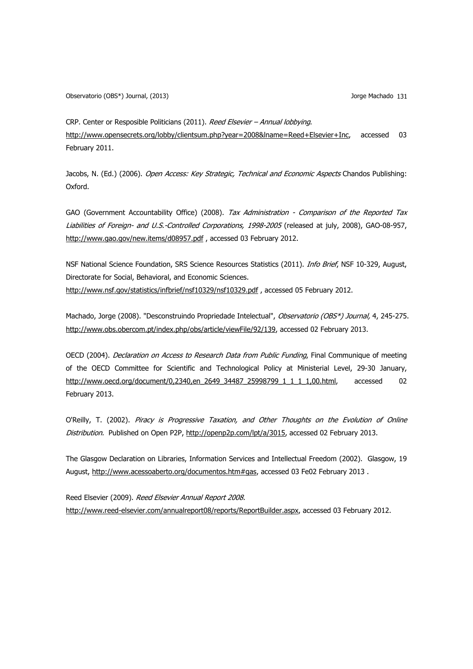CRP. Center or Resposible Politicians (2011). Reed Elsevier – Annual lobbying. <http://www.opensecrets.org/lobby/clientsum.php?year=2008&lname=Reed+Elsevier+Inc>, accessed 03 February 2011.

Jacobs, N. (Ed.) (2006). Open Access: Key Strategic, Technical and Economic Aspects Chandos Publishing: Oxford.

GAO (Government Accountability Office) (2008). Tax Administration - Comparison of the Reported Tax Liabilities of Foreign- and U.S.-Controlled Corporations, 1998-2005 (released at july, 2008), GAO-08-957, <http://www.gao.gov/new.items/d08957.pdf> , accessed 03 February 2012.

NSF National Science Foundation, SRS Science Resources Statistics (2011). *Info Brief*, NSF 10-329, August, Directorate for Social, Behavioral, and Economic Sciences. http://www.nsf.gov/statistics/infbrief/nsf10329/nsf10329.pdf, accessed 05 February 2012.

Machado, Jorge (2008). "Desconstruindo Propriedade Intelectual", Observatorio (OBS\*) Journal, 4, 245-275. <http://www.obs.obercom.pt/index.php/obs/article/viewFile/92/139>, accessed 02 February 2013.

OECD (2004). *Declaration on Access to Research Data from Public Funding*, Final Communique of meeting of the OECD Committee for Scientific and Technological Policy at Ministerial Level, 29-30 January, [http://www.oecd.org/document/0,2340,en\\_2649\\_34487\\_25998799\\_1\\_1\\_1\\_1,00.html,](http://www.oecd.org/document/0,2340,en_2649_34487_25998799_1_1_1_1,00.html) accessed 02 February 2013.

O'Reilly, T. (2002). Piracy is Progressive Taxation, and Other Thoughts on the Evolution of Online Distribution. Published on Open P2P, [http://openp2p.com/lpt/a/3015,](http://openp2p.com/lpt/a/3015) accessed 02 February 2013.

The Glasgow Declaration on Libraries, Information Services and Intellectual Freedom (2002). Glasgow, 19 August, [http://www.acessoaberto.org/documentos.htm#gas,](http://www.acessoaberto.org/documentos.htm#gas) accessed 03 Fe02 February 2013 .

Reed Elsevier (2009). Reed Elsevier Annual Report 2008. [http://www.reed-elsevier.com/annualreport08/reports/ReportBuilder.aspx,](http://www.reed-elsevier.com/annualreport08/reports/ReportBuilder.aspx) accessed 03 February 2012.